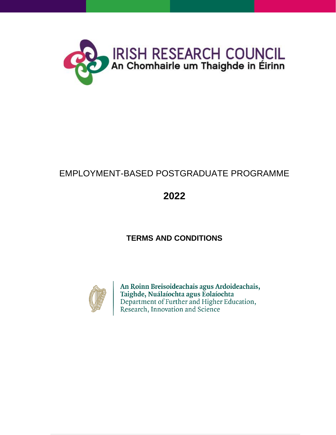

# EMPLOYMENT-BASED POSTGRADUATE PROGRAMME

# **2022**

# **TERMS AND CONDITIONS**



An Roinn Breisoideachais agus Ardoideachais, Taighde, Nuálaíochta agus Eolaíochta<br>Department of Further and Higher Education,<br>Research, Innovation and Science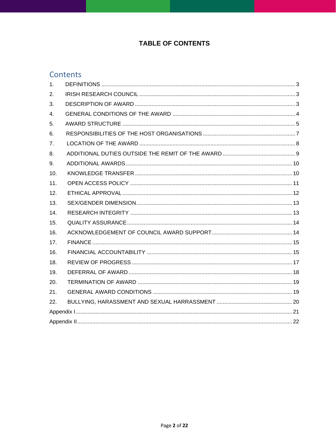### **TABLE OF CONTENTS**

### Contents

| 1.  |  |  |
|-----|--|--|
| 2.  |  |  |
| 3.  |  |  |
| 4.  |  |  |
| 5.  |  |  |
| 6.  |  |  |
| 7.  |  |  |
| 8.  |  |  |
| 9.  |  |  |
| 10. |  |  |
| 11. |  |  |
| 12. |  |  |
| 13. |  |  |
| 14. |  |  |
| 15. |  |  |
| 16. |  |  |
| 17. |  |  |
| 16. |  |  |
| 18. |  |  |
| 19. |  |  |
| 20. |  |  |
| 21. |  |  |
| 22. |  |  |
|     |  |  |
|     |  |  |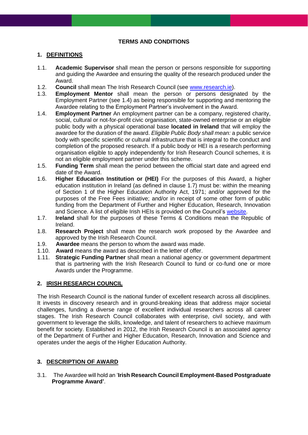#### **TERMS AND CONDITIONS**

#### <span id="page-2-0"></span>**1. DEFINITIONS**

- 1.1. **Academic Supervisor** shall mean the person or persons responsible for supporting and guiding the Awardee and ensuring the quality of the research produced under the Award.
- 1.2. **Council** shall mean The Irish Research Council (see [www.research.ie\)](http://www.research.ie/).
- 1.3. **Employment Mentor** shall mean the person or persons designated by the Employment Partner (see 1.4) as being responsible for supporting and mentoring the Awardee relating to the Employment Partner's involvement in the Award.
- 1.4. **Employment Partner** An employment partner can be a company, registered charity, social, cultural or not-for-profit civic organisation, state-owned enterprise or an eligible public body with a physical operational base **located in Ireland** that will employ the awardee for the duration of the award. *Eligible Public Body shall mean:* a public service body with specific scientific or cultural infrastructure that is integral to the conduct and completion of the proposed research. If a public body or HEI is a research performing organisation eligible to apply independently for Irish Research Council schemes, it is not an eligible employment partner under this scheme.
- 1.5. **Funding Term** shall mean the period between the official start date and agreed end date of the Award.
- 1.6. **Higher Education Institution or (HEI)** For the purposes of this Award, a higher education institution in Ireland (as defined in clause 1.7) must be: within the meaning of Section 1 of the Higher Education Authority Act, 1971; and/or approved for the purposes of the Free Fees initiative; and/or in receipt of some other form of public funding from the Department of Further and Higher Education, Research, Innovation and Science. A list of eligible Irish HEIs is provided on the Council's [website.](http://research.ie/funding/eligible-higher-education-institutions-and-research-performing-organisations/)
- 1.7. **Ireland** shall for the purposes of these Terms & Conditions mean the Republic of Ireland.
- 1.8. **Research Project** shall mean the research work proposed by the Awardee and approved by the Irish Research Council.
- 1.9. **Awardee** means the person to whom the award was made.
- 1.10. **Award** means the award as described in the letter of offer.
- <span id="page-2-1"></span>1.11. **Strategic Funding Partner** shall mean a national agency or government department that is partnering with the Irish Research Council to fund or co-fund one or more Awards under the Programme.

#### **2. IRISH RESEARCH COUNCIL**

The Irish Research Council is the national funder of excellent research across all disciplines. It invests in discovery research and in ground-breaking ideas that address major societal challenges, funding a diverse range of excellent individual researchers across all career stages. The Irish Research Council collaborates with enterprise, civil society, and with government to leverage the skills, knowledge, and talent of researchers to achieve maximum benefit for society. Established in 2012, the Irish Research Council is an associated agency of the Department of Further and Higher Education, Research, Innovation and Science and operates under the aegis of the Higher Education Authority.

#### <span id="page-2-2"></span>**3. DESCRIPTION OF AWARD**

3.1. The Awardee will hold an '**Irish Research Council Employment-Based Postgraduate Programme Award'**.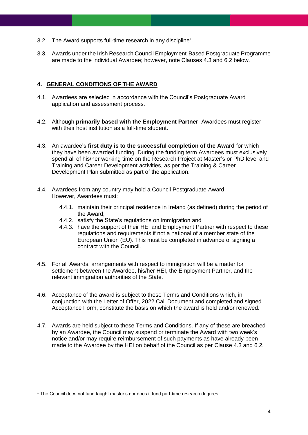- 3.2. The Award supports full-time research in any discipline<sup>1</sup>.
- <span id="page-3-0"></span>3.3. Awards under the Irish Research Council Employment-Based Postgraduate Programme are made to the individual Awardee; however, note Clauses 4.3 and 6.2 below.

#### **4. GENERAL CONDITIONS OF THE AWARD**

- 4.1. Awardees are selected in accordance with the Council's Postgraduate Award application and assessment process.
- 4.2. Although **primarily based with the Employment Partner**, Awardees must register with their host institution as a full-time student.
- 4.3. An awardee's **first duty is to the successful completion of the Award** for which they have been awarded funding. During the funding term Awardees must exclusively spend all of his/her working time on the Research Project at Master's or PhD level and Training and Career Development activities, as per the Training & Career Development Plan submitted as part of the application.
- 4.4. Awardees from any country may hold a Council Postgraduate Award. However, Awardees must:
	- 4.4.1. maintain their principal residence in Ireland (as defined) during the period of the Award;
	- 4.4.2. satisfy the State's regulations on immigration and
	- 4.4.3. have the support of their HEI and Employment Partner with respect to these regulations and requirements if not a national of a member state of the European Union (EU). This must be completed in advance of signing a contract with the Council.
- 4.5. For all Awards, arrangements with respect to immigration will be a matter for settlement between the Awardee, his/her HEI, the Employment Partner, and the relevant immigration authorities of the State.
- 4.6. Acceptance of the award is subject to these Terms and Conditions which, in conjunction with the Letter of Offer, 2022 Call Document and completed and signed Acceptance Form, constitute the basis on which the award is held and/or renewed.
- 4.7. Awards are held subject to these Terms and Conditions. If any of these are breached by an Awardee, the Council may suspend or terminate the Award with two week's notice and/or may require reimbursement of such payments as have already been made to the Awardee by the HEI on behalf of the Council as per Clause 4.3 and 6.2.

<sup>1</sup> The Council does not fund taught master's nor does it fund part-time research degrees.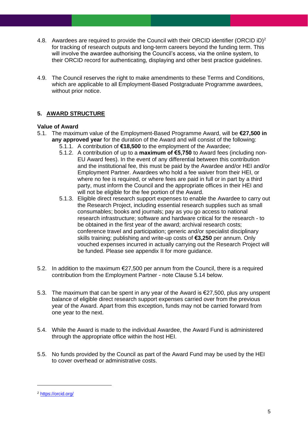- 4.8. Awardees are required to provide the Council with their ORCID identifier (ORCID iD)<sup>2</sup> for tracking of research outputs and long-term careers beyond the funding term. This will involve the awardee authorising the Council's access, via the online system, to their ORCID record for authenticating, displaying and other best practice guidelines.
- <span id="page-4-0"></span>4.9. The Council reserves the right to make amendments to these Terms and Conditions, which are applicable to all Employment-Based Postgraduate Programme awardees, without prior notice.

### **5. AWARD STRUCTURE**

#### **Value of Award**

- 5.1. The maximum value of the Employment-Based Programme Award, will be **€27,500 in any approved year** for the duration of the Award and will consist of the following:
	- 5.1.1. A contribution of **€18,500** to the employment of the Awardee;
	- 5.1.2. A contribution of up to a **maximum of €5,750** to Award fees (including non-EU Award fees). In the event of any differential between this contribution and the institutional fee, this must be paid by the Awardee and/or HEI and/or Employment Partner. Awardees who hold a fee waiver from their HEI, or where no fee is required, or where fees are paid in full or in part by a third party, must inform the Council and the appropriate offices in their HEI and will not be eligible for the fee portion of the Award.
	- 5.1.3. Eligible direct research support expenses to enable the Awardee to carry out the Research Project, including essential research supplies such as small consumables; books and journals; pay as you go access to national research infrastructure; software and hardware critical for the research - to be obtained in the first year of the award; archival research costs; conference travel and participation; generic and/or specialist disciplinary skills training; publishing and write-up costs of **€3,250** per annum. Only vouched expenses incurred in actually carrying out the Research Project will be funded. Please see appendix II for more guidance.
- 5.2. In addition to the maximum €27,500 per annum from the Council, there is a required contribution from the Employment Partner - note Clause 5.14 below.
- 5.3. The maximum that can be spent in any year of the Award is €27,500, plus any unspent balance of eligible direct research support expenses carried over from the previous year of the Award. Apart from this exception, funds may not be carried forward from one year to the next.
- 5.4. While the Award is made to the individual Awardee, the Award Fund is administered through the appropriate office within the host HEI.
- 5.5. No funds provided by the Council as part of the Award Fund may be used by the HEI to cover overhead or administrative costs.

<sup>2</sup> <https://orcid.org/>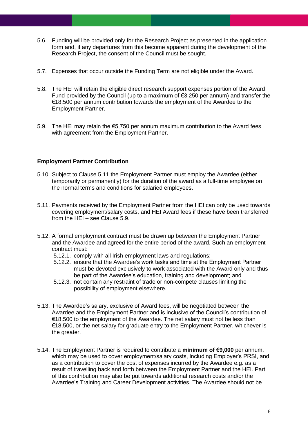- 5.6. Funding will be provided only for the Research Project as presented in the application form and, if any departures from this become apparent during the development of the Research Project, the consent of the Council must be sought.
- 5.7. Expenses that occur outside the Funding Term are not eligible under the Award.
- 5.8. The HEI will retain the eligible direct research support expenses portion of the Award Fund provided by the Council (up to a maximum of  $63.250$  per annum) and transfer the €18,500 per annum contribution towards the employment of the Awardee to the Employment Partner.
- 5.9. The HEI may retain the €5,750 per annum maximum contribution to the Award fees with agreement from the Employment Partner.

#### **Employment Partner Contribution**

- 5.10. Subject to Clause 5.11 the Employment Partner must employ the Awardee (either temporarily or permanently) for the duration of the award as a full-time employee on the normal terms and conditions for salaried employees.
- 5.11. Payments received by the Employment Partner from the HEI can only be used towards covering employment/salary costs, and HEI Award fees if these have been transferred from the HEI – see Clause 5.9.
- 5.12. A formal employment contract must be drawn up between the Employment Partner and the Awardee and agreed for the entire period of the award. Such an employment contract must:
	- 5.12.1. comply with all Irish employment laws and regulations;
	- 5.12.2. ensure that the Awardee's work tasks and time at the Employment Partner must be devoted exclusively to work associated with the Award only and thus be part of the Awardee's education, training and development; and
	- 5.12.3. not contain any restraint of trade or non-compete clauses limiting the possibility of employment elsewhere.
- 5.13. The Awardee's salary, exclusive of Award fees, will be negotiated between the Awardee and the Employment Partner and is inclusive of the Council's contribution of €18,500 to the employment of the Awardee. The net salary must not be less than €18,500, or the net salary for graduate entry to the Employment Partner, whichever is the greater.
- 5.14. The Employment Partner is required to contribute a **minimum of €9,000** per annum, which may be used to cover employment/salary costs, including Employer's PRSI, and as a contribution to cover the cost of expenses incurred by the Awardee e.g. as a result of travelling back and forth between the Employment Partner and the HEI. Part of this contribution may also be put towards additional research costs and/or the Awardee's Training and Career Development activities. The Awardee should not be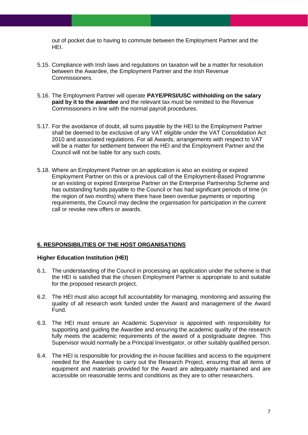out of pocket due to having to commute between the Employment Partner and the HEI.

- 5.15. Compliance with Irish laws and regulations on taxation will be a matter for resolution between the Awardee, the Employment Partner and the Irish Revenue Commissioners.
- 5.16. The Employment Partner will operate **PAYE/PRSI/USC withholding on the salary paid by it to the awardee** and the relevant tax must be remitted to the Revenue Commissioners in line with the normal payroll procedures.
- 5.17. For the avoidance of doubt, all sums payable by the HEI to the Employment Partner shall be deemed to be exclusive of any VAT eligible under the VAT Consolidation Act 2010 and associated regulations. For all Awards, arrangements with respect to VAT will be a matter for settlement between the HEI and the Employment Partner and the Council will not be liable for any such costs.
- 5.18. Where an Employment Partner on an application is also an existing or expired Employment Partner on this or a previous call of the Employment-Based Programme or an existing or expired Enterprise Partner on the Enterprise Partnership Scheme and has outstanding funds payable to the Council or has had significant periods of time (in the region of two months) where there have been overdue payments or reporting requirements, the Council may decline the organisation for participation in the current call or revoke new offers or awards.

#### <span id="page-6-0"></span>**6. RESPONSIBILITIES OF THE HOST ORGANISATIONS**

#### **Higher Education Institution (HEI)**

- 6.1. The understanding of the Council in processing an application under the scheme is that the HEI is satisfied that the chosen Employment Partner is appropriate to and suitable for the proposed research project.
- 6.2. The HEI must also accept full accountability for managing, monitoring and assuring the quality of all research work funded under the Award and management of the Award Fund.
- 6.3. The HEI must ensure an Academic Supervisor is appointed with responsibility for supporting and guiding the Awardee and ensuring the academic quality of the research fully meets the academic requirements of the award of a postgraduate degree. This Supervisor would normally be a Principal Investigator, or other suitably qualified person.
- 6.4. The HEI is responsible for providing the in-house facilities and access to the equipment needed for the Awardee to carry out the Research Project, ensuring that all items of equipment and materials provided for the Award are adequately maintained and are accessible on reasonable terms and conditions as they are to other researchers.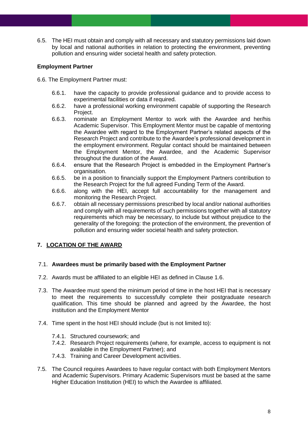6.5. The HEI must obtain and comply with all necessary and statutory permissions laid down by local and national authorities in relation to protecting the environment, preventing pollution and ensuring wider societal health and safety protection.

#### **Employment Partner**

- 6.6. The Employment Partner must:
	- 6.6.1. have the capacity to provide professional guidance and to provide access to experimental facilities or data if required.
	- 6.6.2. have a professional working environment capable of supporting the Research Project.
	- 6.6.3. nominate an Employment Mentor to work with the Awardee and her/his Academic Supervisor. This Employment Mentor must be capable of mentoring the Awardee with regard to the Employment Partner's related aspects of the Research Project and contribute to the Awardee's professional development in the employment environment. Regular contact should be maintained between the Employment Mentor, the Awardee, and the Academic Supervisor throughout the duration of the Award.
	- 6.6.4. ensure that the Research Project is embedded in the Employment Partner's organisation.
	- 6.6.5. be in a position to financially support the Employment Partners contribution to the Research Project for the full agreed Funding Term of the Award.
	- 6.6.6. along with the HEI, accept full accountability for the management and monitoring the Research Project.
	- 6.6.7. obtain all necessary permissions prescribed by local and/or national authorities and comply with all requirements of such permissions together with all statutory requirements which may be necessary, to include but without prejudice to the generality of the foregoing: the protection of the environment, the prevention of pollution and ensuring wider societal health and safety protection.

#### <span id="page-7-0"></span>**7. LOCATION OF THE AWARD**

#### 7.1. **Awardees must be primarily based with the Employment Partner**

- 7.2. Awards must be affiliated to an eligible HEI as defined in Clause 1.6.
- 7.3. The Awardee must spend the minimum period of time in the host HEI that is necessary to meet the requirements to successfully complete their postgraduate research qualification. This time should be planned and agreed by the Awardee, the host institution and the Employment Mentor
- 7.4. Time spent in the host HEI should include (but is not limited to):
	- 7.4.1. Structured coursework; and
	- 7.4.2. Research Project requirements (where, for example, access to equipment is not available in the Employment Partner); and
	- 7.4.3. Training and Career Development activities.
- 7.5. The Council requires Awardees to have regular contact with both Employment Mentors and Academic Supervisors. Primary Academic Supervisors must be based at the same Higher Education Institution (HEI) to which the Awardee is affiliated.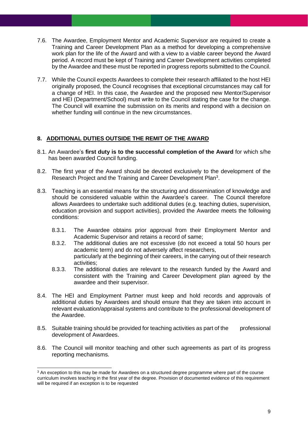- 7.6. The Awardee, Employment Mentor and Academic Supervisor are required to create a Training and Career Development Plan as a method for developing a comprehensive work plan for the life of the Award and with a view to a viable career beyond the Award period. A record must be kept of Training and Career Development activities completed by the Awardee and these must be reported in progress reports submitted to the Council.
- 7.7. While the Council expects Awardees to complete their research affiliated to the host HEI originally proposed, the Council recognises that exceptional circumstances may call for a change of HEI. In this case, the Awardee and the proposed new Mentor/Supervisor and HEI (Department/School) must write to the Council stating the case for the change. The Council will examine the submission on its merits and respond with a decision on whether funding will continue in the new circumstances.

#### <span id="page-8-0"></span>**8. ADDITIONAL DUTIES OUTSIDE THE REMIT OF THE AWARD**

- 8.1. An Awardee's **first duty is to the successful completion of the Award** for which s/he has been awarded Council funding.
- 8.2. The first year of the Award should be devoted exclusively to the development of the Research Project and the Training and Career Development Plan<sup>3</sup>.
- 8.3. Teaching is an essential means for the structuring and dissemination of knowledge and should be considered valuable within the Awardee's career. The Council therefore allows Awardees to undertake such additional duties (e.g. teaching duties, supervision, education provision and support activities), provided the Awardee meets the following conditions:
	- 8.3.1. The Awardee obtains prior approval from their Employment Mentor and Academic Supervisor and retains a record of same;
	- 8.3.2. The additional duties are not excessive (do not exceed a total 50 hours per academic term) and do not adversely affect researchers, particularly at the beginning of their careers, in the carrying out of their research activities;
	- 8.3.3. The additional duties are relevant to the research funded by the Award and consistent with the Training and Career Development plan agreed by the awardee and their supervisor.
- 8.4. The HEI and Employment Partner must keep and hold records and approvals of additional duties by Awardees and should ensure that they are taken into account in relevant evaluation/appraisal systems and contribute to the professional development of the Awardee.
- 8.5. Suitable training should be provided for teaching activities as part of the professional development of Awardees.
- 8.6. The Council will monitor teaching and other such agreements as part of its progress reporting mechanisms.

<sup>&</sup>lt;sup>3</sup> An exception to this may be made for Awardees on a structured degree programme where part of the course curriculum involves teaching in the first year of the degree. Provision of documented evidence of this requirement will be required if an exception is to be requested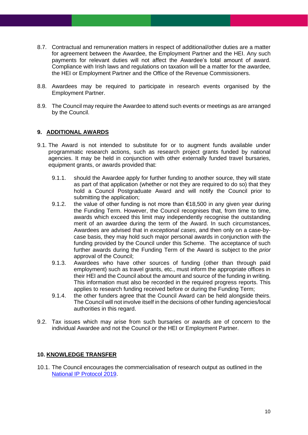- 8.7. Contractual and remuneration matters in respect of additional/other duties are a matter for agreement between the Awardee, the Employment Partner and the HEI. Any such payments for relevant duties will not affect the Awardee's total amount of award. Compliance with Irish laws and regulations on taxation will be a matter for the awardee, the HEI or Employment Partner and the Office of the Revenue Commissioners.
- 8.8. Awardees may be required to participate in research events organised by the Employment Partner.
- <span id="page-9-0"></span>8.9. The Council may require the Awardee to attend such events or meetings as are arranged by the Council.

#### **9. ADDITIONAL AWARDS**

- 9.1. The Award is not intended to substitute for or to augment funds available under programmatic research actions, such as research project grants funded by national agencies. It may be held in conjunction with other externally funded travel bursaries, equipment grants, or awards provided that:
	- 9.1.1. should the Awardee apply for further funding to another source, they will state as part of that application (whether or not they are required to do so) that they hold a Council Postgraduate Award and will notify the Council prior to submitting the application;
	- 9.1.2. the value of other funding is not more than  $€18,500$  in any given year during the Funding Term. However, the Council recognises that, from time to time, awards which exceed this limit may independently recognise the outstanding merit of an awardee during the term of the Award. In such circumstances, Awardees are advised that in *exceptional cases*, and then only on a case-bycase basis, they may hold such major personal awards in conjunction with the funding provided by the Council under this Scheme. The acceptance of such further awards during the Funding Term of the Award is subject to the *prior* approval of the Council;
	- 9.1.3. Awardees who have other sources of funding (other than through paid employment) such as travel grants, etc., must inform the appropriate offices in their HEI and the Council about the amount and source of the funding in writing. This information must also be recorded in the required progress reports. This applies to research funding received before or during the Funding Term;
	- 9.1.4. the other funders agree that the Council Award can be held alongside theirs. The Council will not involve itself in the decisions of other funding agencies/local authorities in this regard.
- <span id="page-9-1"></span>9.2. Tax issues which may arise from such bursaries or awards are of concern to the individual Awardee and not the Council or the HEI or Employment Partner.

#### **10. KNOWLEDGE TRANSFER**

10.1. The Council encourages the commercialisation of research output as outlined in the [National IP Protocol 2019.](https://www.knowledgetransferireland.com/Reports-Publications/Ireland-s-National-IP-Protocol-2019-.pdf)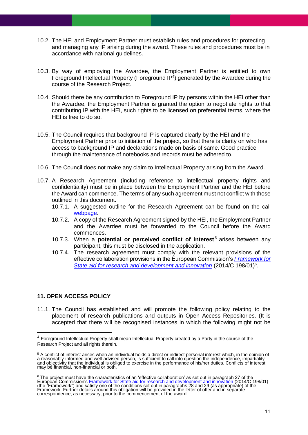- 10.2. The HEI and Employment Partner must establish rules and procedures for protecting and managing any IP arising during the award. These rules and procedures must be in accordance with national guidelines.
- 10.3. By way of employing the Awardee, the Employment Partner is entitled to own Foreground Intellectual Property (Foreground IP<sup>4</sup>) generated by the Awardee during the course of the Research Project.
- 10.4. Should there be any contribution to Foreground IP by persons within the HEI other than the Awardee, the Employment Partner is granted the option to negotiate rights to that contributing IP with the HEI, such rights to be licensed on preferential terms, where the HEI is free to do so.
- 10.5. The Council requires that background IP is captured clearly by the HEI and the Employment Partner prior to initiation of the project, so that there is clarity on who has access to background IP and declarations made on basis of same. Good practice through the maintenance of notebooks and records must be adhered to.
- 10.6. The Council does not make any claim to Intellectual Property arising from the Award.
- 10.7. A Research Agreement (including reference to intellectual property rights and confidentiality) must be in place between the Employment Partner and the HEI before the Award can commence. The terms of any such agreement must not conflict with those outlined in this document.
	- 10.7.1. A suggested outline for the Research Agreement can be found on the call [webpage.](https://research.ie/funding/ebp/)
	- 10.7.2. A copy of the Research Agreement signed by the HEI, the Employment Partner and the Awardee must be forwarded to the Council before the Award commences.
	- 10.7.3. When a **potential or perceived conflict of interest**<sup>5</sup> arises between any participant, this must be disclosed in the application.
	- 10.7.4. The research agreement must comply with the relevant provisions of the effective collaboration provisions in the European Commission's *[Framework for](https://eur-lex.europa.eu/legal-content/EN/TXT/PDF/?uri=CELEX:52014XC0627(01)&from=GA)*  [State aid for research and development and innovation](https://eur-lex.europa.eu/legal-content/EN/TXT/PDF/?uri=CELEX:52014XC0627(01)&from=GA) (2014/C 198/01)<sup>6</sup>.

#### <span id="page-10-0"></span>**11. OPEN ACCESS POLICY**

11.1. The Council has established and will promote the following policy relating to the placement of research publications and outputs in Open Access Repositories. (It is accepted that there will be recognised instances in which the following might not be

<sup>4</sup> Foreground Intellectual Property shall mean Intellectual Property created by a Party in the course of the Research Project and all rights therein.

<sup>5</sup> A conflict of interest arises when an individual holds a direct or indirect personal interest which, in the opinion of a reasonably-informed and well-advised person, is sufficient to call into question the independence, impartiality<br>and objectivity that the individual is obliged to exercise in the performance of his/her duties. Conflicts o may be financial, non-financial or both.

<sup>&</sup>lt;sup>6</sup> The project must have the characteristics of an 'effective collaboration' as set out in paragraph 27 of the<br>European Commission's <u>Framework for State aid for research and development and innovation</u> (2014/C 198/01) (the "Framework") and satisfy one of the conditions set out in paragraphs 28 and 29 (as appropriate) of the Framework. Further details around this obligation will be provided in the letter of offer and in separate correspondence, as necessary, prior to the commencement of the award.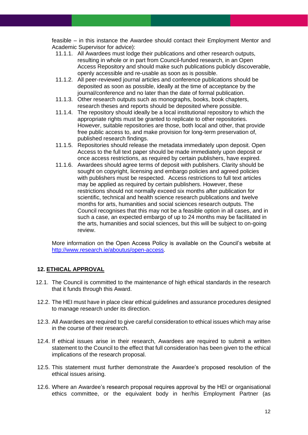feasible – in this instance the Awardee should contact their Employment Mentor and Academic Supervisor for advice):

- 11.1.1. All Awardees must lodge their publications and other research outputs, resulting in whole or in part from Council-funded research, in an Open Access Repository and should make such publications publicly discoverable, openly accessible and re-usable as soon as is possible.
- 11.1.2. All peer-reviewed journal articles and conference publications should be deposited as soon as possible, ideally at the time of acceptance by the journal/conference and no later than the date of formal publication.
- 11.1.3. Other research outputs such as monographs, books, book chapters, research theses and reports should be deposited where possible.
- 11.1.4. The repository should ideally be a local institutional repository to which the appropriate rights must be granted to replicate to other repositories. However, suitable repositories are those, both local and other, that provide free public access to, and make provision for long-term preservation of, published research findings.
- 11.1.5. Repositories should release the metadata immediately upon deposit. Open Access to the full text paper should be made immediately upon deposit or once access restrictions, as required by certain publishers, have expired.
- 11.1.6. Awardees should agree terms of deposit with publishers. Clarity should be sought on copyright, licensing and embargo policies and agreed policies with publishers must be respected. Access restrictions to full text articles may be applied as required by certain publishers. However, these restrictions should not normally exceed six months after publication for scientific, technical and health science research publications and twelve months for arts, humanities and social sciences research outputs. The Council recognises that this may not be a feasible option in all cases, and in such a case, an expected embargo of up to 24 months may be facilitated in the arts, humanities and social sciences, but this will be subject to on-going review.

<span id="page-11-0"></span>More information on the Open Access Policy is available on the Council's website at [http://www.research.ie/aboutus/open-access.](http://www.research.ie/aboutus/open-access)

#### **12. ETHICAL APPROVAL**

- 12.1. The Council is committed to the maintenance of high ethical standards in the research that it funds through this Award.
- 12.2. The HEI must have in place clear ethical guidelines and assurance procedures designed to manage research under its direction.
- 12.3. All Awardees are required to give careful consideration to ethical issues which may arise in the course of their research.
- 12.4. If ethical issues arise in their research, Awardees are required to submit a written statement to the Council to the effect that full consideration has been given to the ethical implications of the research proposal.
- 12.5. This statement must further demonstrate the Awardee's proposed resolution of the ethical issues arising.
- 12.6. Where an Awardee's research proposal requires approval by the HEI or organisational ethics committee, or the equivalent body in her/his Employment Partner (as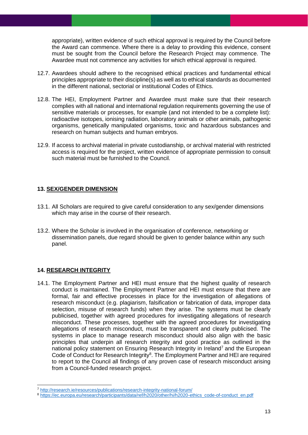appropriate), written evidence of such ethical approval is required by the Council before the Award can commence. Where there is a delay to providing this evidence, consent must be sought from the Council before the Research Project may commence. The Awardee must not commence any activities for which ethical approval is required.

- 12.7. Awardees should adhere to the recognised ethical practices and fundamental ethical principles appropriate to their discipline(s) as well as to ethical standards as documented in the different national, sectorial or institutional Codes of Ethics.
- 12.8. The HEI, Employment Partner and Awardee must make sure that their research complies with all national and international regulation requirements governing the use of sensitive materials or processes, for example (and not intended to be a complete list): radioactive isotopes, ionising radiation, laboratory animals or other animals, pathogenic organisms, genetically manipulated organisms, toxic and hazardous substances and research on human subjects and human embryos.
- <span id="page-12-0"></span>12.9. If access to archival material in private custodianship, or archival material with restricted access is required for the project, written evidence of appropriate permission to consult such material must be furnished to the Council.

#### **13. SEX/GENDER DIMENSION**

- 13.1. All Scholars are required to give careful consideration to any sex/gender dimensions which may arise in the course of their research.
- <span id="page-12-1"></span>13.2. Where the Scholar is involved in the organisation of conference, networking or dissemination panels, due regard should be given to gender balance within any such panel.

#### **14. RESEARCH INTEGRITY**

14.1. The Employment Partner and HEI must ensure that the highest quality of research conduct is maintained. The Employment Partner and HEI must ensure that there are formal, fair and effective processes in place for the investigation of allegations of research misconduct (e.g. plagiarism, falsification or fabrication of data, improper data selection, misuse of research funds) when they arise. The systems must be clearly publicised, together with agreed procedures for investigating allegations of research misconduct. These processes, together with the agreed procedures for investigating allegations of research misconduct, must be transparent and clearly publicised. The systems in place to manage research misconduct should also align with the basic principles that underpin all research integrity and good practice as outlined in the national policy statement on Ensuring Research Integrity in Ireland<sup>7</sup> and the European Code of Conduct for Research Integrity<sup>8</sup>. The Employment Partner and HEI are required to report to the Council all findings of any proven case of research misconduct arising from a Council-funded research project.

<sup>7</sup> <http://research.ie/resources/publications/research-integrity-national-forum/>

<sup>8</sup> [https://ec.europa.eu/research/participants/data/ref/h2020/other/hi/h2020-ethics\\_code-of-conduct\\_en.pdf](https://ec.europa.eu/research/participants/data/ref/h2020/other/hi/h2020-ethics_code-of-conduct_en.pdf)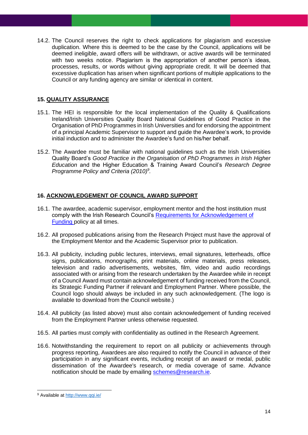14.2. The Council reserves the right to check applications for plagiarism and excessive duplication. Where this is deemed to be the case by the Council, applications will be deemed ineligible, award offers will be withdrawn, or active awards will be terminated with two weeks notice. Plagiarism is the appropriation of another person's ideas, processes, results, or words without giving appropriate credit. It will be deemed that excessive duplication has arisen when significant portions of multiple applications to the Council or any funding agency are similar or identical in content.

#### <span id="page-13-0"></span>**15. QUALITY ASSURANCE**

- 15.1. The HEI is responsible for the local implementation of the Quality & Qualifications Ireland/Irish Universities Quality Board National Guidelines of Good Practice in the Organisation of PhD Programmes in Irish Universities and for endorsing the appointment of a principal Academic Supervisor to support and guide the Awardee's work, to provide initial induction and to administer the Awardee's fund on his/her behalf.
- <span id="page-13-1"></span>15.2. The Awardee must be familiar with national guidelines such as the Irish Universities Quality Board's *Good Practice in the Organisation of PhD Programmes in Irish Higher Education* and the Higher Education & Training Award Council's *Research Degree Programme Policy and Criteria (2010)<sup>9</sup> .*

#### **16. ACKNOWLEDGEMENT OF COUNCIL AWARD SUPPORT**

- 16.1. The awardee, academic supervisor, employment mentor and the host institution must comply with the Irish Research Council's [Requirements for Acknowledgement of](https://research.ie/assets/uploads/2017/05/Requirements-for-acknowledgement-of-Irish-Research-Council-support-UPDATE.pdf)  [Funding](https://research.ie/assets/uploads/2017/05/Requirements-for-acknowledgement-of-Irish-Research-Council-support-UPDATE.pdf) policy at all times.
- 16.2. All proposed publications arising from the Research Project must have the approval of the Employment Mentor and the Academic Supervisor prior to publication.
- 16.3. All publicity, including public lectures, interviews, email signatures, letterheads, office signs, publications, monographs, print materials, online materials, press releases, television and radio advertisements, websites, film, video and audio recordings associated with or arising from the research undertaken by the Awardee while in receipt of a Council Award must contain acknowledgement of funding received from the Council, its Strategic Funding Partner if relevant and Employment Partner. Where possible, the Council logo should always be included in any such acknowledgement. (The logo is available to download from the Council website.)
- 16.4. All publicity (as listed above) must also contain acknowledgement of funding received from the Employment Partner unless otherwise requested.
- 16.5. All parties must comply with confidentiality as outlined in the Research Agreement.
- 16.6. Notwithstanding the requirement to report on all publicity or achievements through progress reporting, Awardees are also required to notify the Council in advance of their participation in any significant events, including receipt of an award or medal, public dissemination of the Awardee's research, or media coverage of same. Advance notification should be made by emailing [schemes@research.ie.](mailto:schemes@research.ie)

<sup>9</sup> Available at<http://www.qqi.ie/>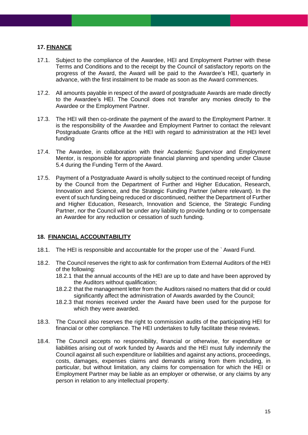#### <span id="page-14-0"></span>**17. FINANCE**

- 17.1. Subject to the compliance of the Awardee, HEI and Employment Partner with these Terms and Conditions and to the receipt by the Council of satisfactory reports on the progress of the Award, the Award will be paid to the Awardee's HEI, quarterly in advance, with the first instalment to be made as soon as the Award commences.
- 17.2. All amounts payable in respect of the award of postgraduate Awards are made directly to the Awardee's HEI. The Council does not transfer any monies directly to the Awardee or the Employment Partner.
- 17.3. The HEI will then co-ordinate the payment of the award to the Employment Partner. It is the responsibility of the Awardee and Employment Partner to contact the relevant Postgraduate Grants office at the HEI with regard to administration at the HEI level funding
- 17.4. The Awardee, in collaboration with their Academic Supervisor and Employment Mentor, is responsible for appropriate financial planning and spending under Clause 5.4 during the Funding Term of the Award.
- 17.5. Payment of a Postgraduate Award is wholly subject to the continued receipt of funding by the Council from the Department of Further and Higher Education, Research, Innovation and Science, and the Strategic Funding Partner (where relevant). In the event of such funding being reduced or discontinued, neither the Department of Further and Higher Education, Research, Innovation and Science, the Strategic Funding Partner, nor the Council will be under any liability to provide funding or to compensate an Awardee for any reduction or cessation of such funding.

#### <span id="page-14-1"></span>**18. FINANCIAL ACCOUNTABILITY**

- 18.1. The HEI is responsible and accountable for the proper use of the ` Award Fund.
- 18.2. The Council reserves the right to ask for confirmation from External Auditors of the HEI of the following:
	- 18.2.1 that the annual accounts of the HEI are up to date and have been approved by the Auditors without qualification;
	- 18.2.2 that the management letter from the Auditors raised no matters that did or could significantly affect the administration of Awards awarded by the Council;
	- 18.2.3 that monies received under the Award have been used for the purpose for which they were awarded.
- 18.3. The Council also reserves the right to commission audits of the participating HEI for financial or other compliance. The HEI undertakes to fully facilitate these reviews.
- 18.4. The Council accepts no responsibility, financial or otherwise, for expenditure or liabilities arising out of work funded by Awards and the HEI must fully indemnify the Council against all such expenditure or liabilities and against any actions, proceedings, costs, damages, expenses claims and demands arising from them including, in particular, but without limitation, any claims for compensation for which the HEI or Employment Partner may be liable as an employer or otherwise, or any claims by any person in relation to any intellectual property.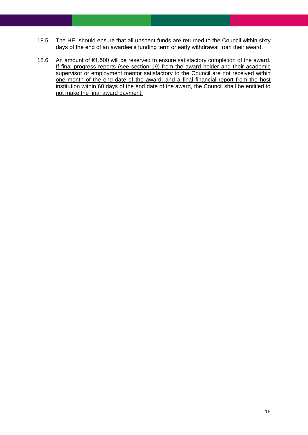- 18.5. The HEI should ensure that all unspent funds are returned to the Council within sixty days of the end of an awardee's funding term or early withdrawal from their award.
- 18.6. An amount of €1,500 will be reserved to ensure satisfactory completion of the award. If final progress reports (see section 19) from the award holder and their academic supervisor or employment mentor satisfactory to the Council are not received within one month of the end date of the award, and a final financial report from the host institution within 60 days of the end date of the award, the Council shall be entitled to not make the final award payment.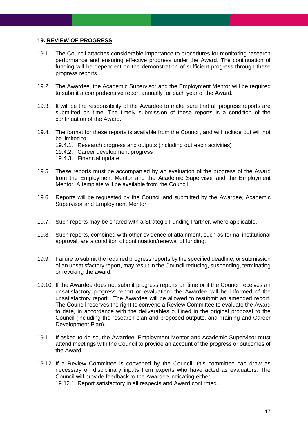#### <span id="page-16-0"></span>**19. REVIEW OF PROGRESS**

- 19.1. The Council attaches considerable importance to procedures for monitoring research performance and ensuring effective progress under the Award. The continuation of funding will be dependent on the demonstration of sufficient progress through these progress reports.
- 19.2. The Awardee, the Academic Supervisor and the Employment Mentor will be required to submit a comprehensive report annually for each year of the Award.
- 19.3. It will be the responsibility of the Awardee to make sure that all progress reports are submitted on time. The timely submission of these reports is a condition of the continuation of the Award.
- 19.4. The format for these reports is available from the Council, and will include but will not be limited to:
	- 19.4.1. Research progress and outputs (including outreach activities)
	- 19.4.2. Career development progress
	- 19.4.3. Financial update
- 19.5. These reports must be accompanied by an evaluation of the progress of the Award from the Employment Mentor and the Academic Supervisor and the Employment Mentor. A template will be available from the Council.
- 19.6. Reports will be requested by the Council and submitted by the Awardee, Academic Supervisor and Employment Mentor.
- 19.7. Such reports may be shared with a Strategic Funding Partner, where applicable.
- 19.8. Such reports, combined with other evidence of attainment, such as formal institutional approval, are a condition of continuation/renewal of funding.
- 19.9. Failure to submit the required progress reports by the specified deadline, or submission of an unsatisfactory report, may result in the Council reducing, suspending, terminating or revoking the award.
- 19.10. If the Awardee does not submit progress reports on time or if the Council receives an unsatisfactory progress report or evaluation, the Awardee will be informed of the unsatisfactory report. The Awardee will be allowed to resubmit an amended report. The Council reserves the right to convene a Review Committee to evaluate the Award to date, in accordance with the deliverables outlined in the original proposal to the Council (including the research plan and proposed outputs, and Training and Career Development Plan).
- 19.11. If asked to do so, the Awardee, Employment Mentor and Academic Supervisor must attend meetings with the Council to provide an account of the progress or outcomes of the Award.
- 19.12. If a Review Committee is convened by the Council, this committee can draw as necessary on disciplinary inputs from experts who have acted as evaluators. The Council will provide feedback to the Awardee indicating either: 19.12.1. Report satisfactory in all respects and Award confirmed.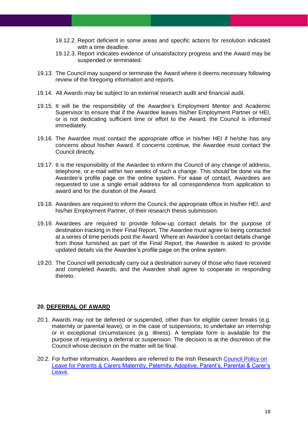- 19.12.2. Report deficient in some areas and specific actions for resolution indicated with a time deadline.
- 19.12.3. Report indicates evidence of unsatisfactory progress and the Award may be suspended or terminated.
- 19.13. The Council may suspend or terminate the Award where it deems necessary following review of the foregoing information and reports.
- 19.14. All Awards may be subject to an external research audit and financial audit.
- 19.15. It will be the responsibility of the Awardee's Employment Mentor and Academic Supervisor to ensure that if the Awardee leaves his/her Employment Partner or HEI, or is not dedicating sufficient time or effort to the Award, the Council is informed immediately.
- 19.16. The Awardee must contact the appropriate office in his/her HEI if he/she has any concerns about his/her Award. If concerns continue, the Awardee must contact the Council directly.
- 19.17. It is the responsibility of the Awardee to inform the Council of any change of address, telephone, or e-mail within two weeks of such a change. This should be done via the Awardee's profile page on the online system. For ease of contact, Awardees are requested to use a single email address for all correspondence from application to award and for the duration of the Award.
- 19.18. Awardees are required to inform the Council, the appropriate office in his/her HEI, and his/her Employment Partner, of their research thesis submission.
- 19.19. Awardees are required to provide follow-up contact details for the purpose of destination tracking in their Final Report. The Awardee must agree to being contacted at a series of time periods post the Award. Where an Awardee's contact details change from those furnished as part of the Final Report, the Awardee is asked to provide updated details via the Awardee's profile page on the online system.
- <span id="page-17-0"></span>19.20. The Council will periodically carry out a destination survey of those who have received and completed Awards, and the Awardee shall agree to cooperate in responding thereto.

#### **20. DEFERRAL OF AWARD**

- 20.1. Awards may not be deferred or suspended, other than for eligible career breaks (e.g. maternity or parental leave), or in the case of suspensions, to undertake an internship or in exceptional circumstances (e.g. illness). A template form is available for the purpose of requesting a deferral or suspension. The decision is at the discretion of the Council whose decision on the matter will be final.
- 20.2. For further information, Awardees are referred to the Irish Research [Council Policy on](https://research.ie/assets/uploads/2017/05/IRC-Policy-on-Leave-for-Parents-and-Carers_Nov2021.pdf)  Leave for Parents & Carers [Maternity, Paternity, Adoptive, Parent's, Parental & Carer's](https://research.ie/assets/uploads/2017/05/IRC-Policy-on-Leave-for-Parents-and-Carers_Nov2021.pdf)  [Leave.](https://research.ie/assets/uploads/2017/05/IRC-Policy-on-Leave-for-Parents-and-Carers_Nov2021.pdf)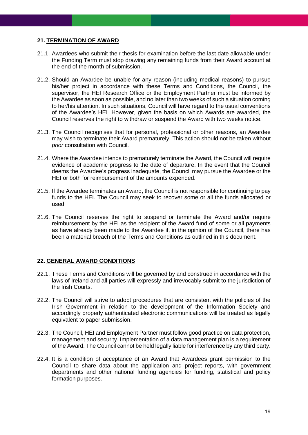#### <span id="page-18-0"></span>**21. TERMINATION OF AWARD**

- 21.1. Awardees who submit their thesis for examination before the last date allowable under the Funding Term must stop drawing any remaining funds from their Award account at the end of the month of submission.
- 21.2. Should an Awardee be unable for any reason (including medical reasons) to pursue his/her project in accordance with these Terms and Conditions, the Council, the supervisor, the HEI Research Office or the Employment Partner must be informed by the Awardee as soon as possible, and no later than two weeks of such a situation coming to her/his attention. In such situations, Council will have regard to the usual conventions of the Awardee's HEI. However, given the basis on which Awards are awarded, the Council reserves the right to withdraw or suspend the Award with two weeks notice.
- 21.3. The Council recognises that for personal, professional or other reasons, an Awardee may wish to terminate their Award prematurely. This action should not be taken without *prior* consultation with Council.
- 21.4. Where the Awardee intends to prematurely terminate the Award, the Council will require evidence of academic progress to the date of departure. In the event that the Council deems the Awardee's progress inadequate, the Council may pursue the Awardee or the HEI or both for reimbursement of the amounts expended.
- 21.5. If the Awardee terminates an Award, the Council is not responsible for continuing to pay funds to the HEI. The Council may seek to recover some or all the funds allocated or used.
- <span id="page-18-1"></span>21.6. The Council reserves the right to suspend or terminate the Award and/or require reimbursement by the HEI as the recipient of the Award fund of some or all payments as have already been made to the Awardee if, in the opinion of the Council, there has been a material breach of the Terms and Conditions as outlined in this document.

#### **22. GENERAL AWARD CONDITIONS**

- 22.1. These Terms and Conditions will be governed by and construed in accordance with the laws of Ireland and all parties will expressly and irrevocably submit to the jurisdiction of the Irish Courts.
- 22.2. The Council will strive to adopt procedures that are consistent with the policies of the Irish Government in relation to the development of the Information Society and accordingly properly authenticated electronic communications will be treated as legally equivalent to paper submission.
- 22.3. The Council, HEI and Employment Partner must follow good practice on data protection, management and security. Implementation of a data management plan is a requirement of the Award. The Council cannot be held legally liable for interference by any third party.
- 22.4. It is a condition of acceptance of an Award that Awardees grant permission to the Council to share data about the application and project reports, with government departments and other national funding agencies for funding, statistical and policy formation purposes.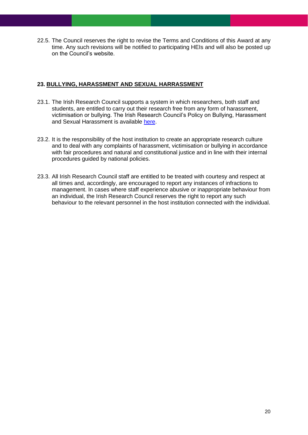<span id="page-19-0"></span>22.5. The Council reserves the right to revise the Terms and Conditions of this Award at any time. Any such revisions will be notified to participating HEIs and will also be posted up on the Council's website.

#### **23. BULLYING, HARASSMENT AND SEXUAL HARRASSMENT**

- 23.1. The Irish Research Council supports a system in which researchers, both staff and students, are entitled to carry out their research free from any form of harassment, victimisation or bullying. The Irish Research Council's Policy on Bullying, Harassment and Sexual Harassment is available [here.](https://research.ie/assets/uploads/2021/06/IRC-Bullying-Harassment-and-Sexual_Harassment-Policy_June-2021.pdf)
- 23.2. It is the responsibility of the host institution to create an appropriate research culture and to deal with any complaints of harassment, victimisation or bullying in accordance with fair procedures and natural and constitutional justice and in line with their internal procedures guided by national policies.
- 23.3. All Irish Research Council staff are entitled to be treated with courtesy and respect at all times and, accordingly, are encouraged to report any instances of infractions to management. In cases where staff experience abusive or inappropriate behaviour from an individual, the Irish Research Council reserves the right to report any such behaviour to the relevant personnel in the host institution connected with the individual.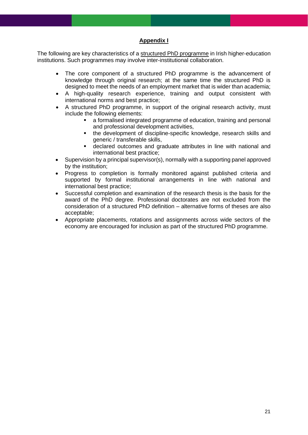#### **Appendix I**

<span id="page-20-0"></span>The following are key characteristics of a structured PhD programme in Irish higher-education institutions. Such programmes may involve inter-institutional collaboration.

- The core component of a structured PhD programme is the advancement of knowledge through original research; at the same time the structured PhD is designed to meet the needs of an employment market that is wider than academia;
- A high-quality research experience, training and output consistent with international norms and best practice;
- A structured PhD programme, in support of the original research activity, must include the following elements:
	- a formalised integrated programme of education, training and personal and professional development activities,
	- the development of discipline-specific knowledge, research skills and generic / transferable skills,
	- declared outcomes and graduate attributes in line with national and international best practice;
- Supervision by a principal supervisor(s), normally with a supporting panel approved by the institution;
- Progress to completion is formally monitored against published criteria and supported by formal institutional arrangements in line with national and international best practice;
- Successful completion and examination of the research thesis is the basis for the award of the PhD degree. Professional doctorates are not excluded from the consideration of a structured PhD definition – alternative forms of theses are also acceptable;
- Appropriate placements, rotations and assignments across wide sectors of the economy are encouraged for inclusion as part of the structured PhD programme.